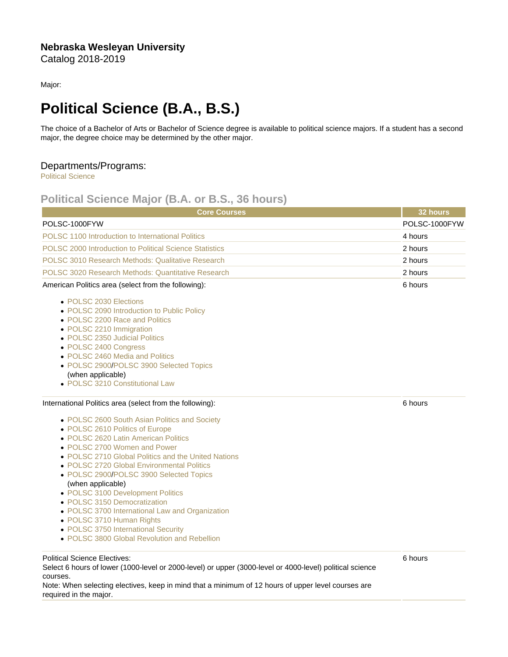## Nebraska Wesleyan University Catalog 2018-2019

Major:

## Political Science (B.A., B.S.)

The choice of a Bachelor of Arts or Bachelor of Science degree is available to political science majors. If a student has a second major, the degree choice may be determined by the other major.

## Departments/Programs:

[Political Science](https://catalog.nebrwesleyan.edu/cc/2018-2019/department/330863)

## Political Science Major (B.A. or B.S., 36 hours)

| <b>Core Courses</b>                                                                                                                                                                                                                                                                                                                                                                                                                                                                                                                                                       | 32 hours      |
|---------------------------------------------------------------------------------------------------------------------------------------------------------------------------------------------------------------------------------------------------------------------------------------------------------------------------------------------------------------------------------------------------------------------------------------------------------------------------------------------------------------------------------------------------------------------------|---------------|
| POLSC-1000FYW                                                                                                                                                                                                                                                                                                                                                                                                                                                                                                                                                             | POLSC-1000FYW |
| POLSC 1100 Introduction to International Politics                                                                                                                                                                                                                                                                                                                                                                                                                                                                                                                         | 4 hours       |
| POLSC 2000 Introduction to Political Science Statistics                                                                                                                                                                                                                                                                                                                                                                                                                                                                                                                   | 2 hours       |
| POLSC 3010 Research Methods: Qualitative Research                                                                                                                                                                                                                                                                                                                                                                                                                                                                                                                         | 2 hours       |
| POLSC 3020 Research Methods: Quantitative Research                                                                                                                                                                                                                                                                                                                                                                                                                                                                                                                        | 2 hours       |
| American Politics area (select from the following):                                                                                                                                                                                                                                                                                                                                                                                                                                                                                                                       | 6 hours       |
| • POLSC 2030 Elections<br>• POLSC 2090 Introduction to Public Policy<br>• POLSC 2200 Race and Politics<br>• POLSC 2210 Immigration<br>• POLSC 2350 Judicial Politics<br>• POLSC 2400 Congress<br>• POLSC 2460 Media and Politics<br>• POLSC 2900/POLSC 3900 Selected Topics<br>(when applicable)<br>• POLSC 3210 Constitutional Law                                                                                                                                                                                                                                       |               |
| International Politics area (select from the following):                                                                                                                                                                                                                                                                                                                                                                                                                                                                                                                  | 6 hours       |
| • POLSC 2600 South Asian Politics and Society<br>• POLSC 2610 Politics of Europe<br>• POLSC 2620 Latin American Politics<br>• POLSC 2700 Women and Power<br>• POLSC 2710 Global Politics and the United Nations<br>• POLSC 2720 Global Environmental Politics<br>• POLSC 2900/POLSC 3900 Selected Topics<br>(when applicable)<br>• POLSC 3100 Development Politics<br>• POLSC 3150 Democratization<br>• POLSC 3700 International Law and Organization<br>• POLSC 3710 Human Rights<br>• POLSC 3750 International Security<br>• POLSC 3800 Global Revolution and Rebellion |               |
| <b>Political Science Electives:</b>                                                                                                                                                                                                                                                                                                                                                                                                                                                                                                                                       | 6 hours       |

Select 6 hours of lower (1000-level or 2000-level) or upper (3000-level or 4000-level) political science courses.

Note: When selecting electives, keep in mind that a minimum of 12 hours of upper level courses are required in the major.

6 hours